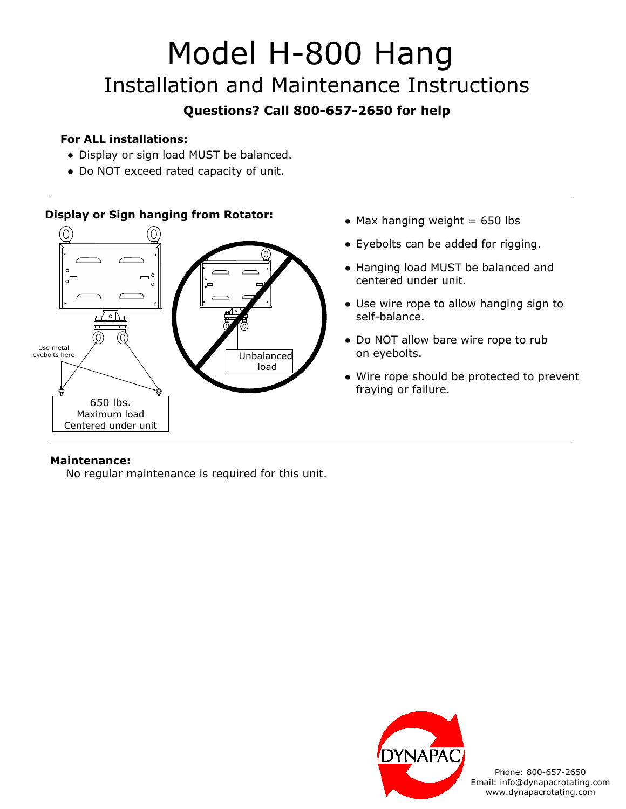# Model H-800 Hang Installation and Maintenance Instructions

## **Questions? Call 800-657-2650 for help**

#### **For ALL installations:**

- Display or sign load MUST be balanced.
- Do NOT exceed rated capacity of unit.

#### **Display or Sign hanging from Rotator:**



- $\bullet$  Max hanging weight = 650 lbs
- Eyebolts can be added for rigging.
- Hanging load MUST be balanced and centered under unit.
- Use wire rope to allow hanging sign to self-balance.
- Do NOT allow bare wire rope to rub on eyebolts.
- Wire rope should be protected to prevent fraying or failure.

#### **Maintenance:**

No regular maintenance is required for this unit.